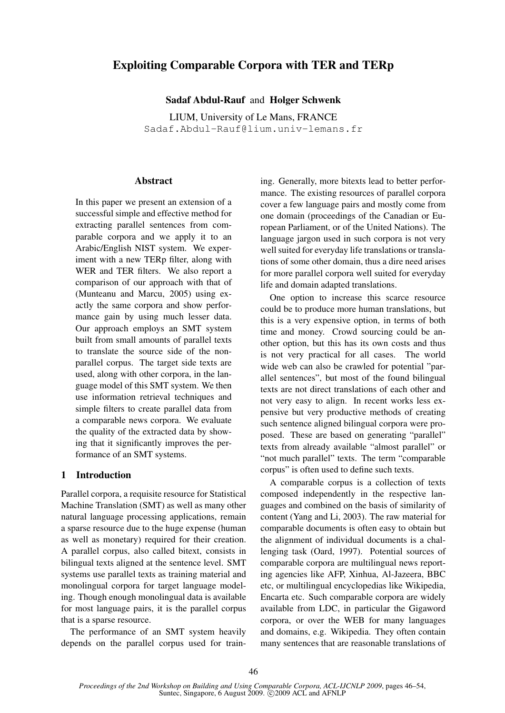# Exploiting Comparable Corpora with TER and TERp

Sadaf Abdul-Rauf and Holger Schwenk

LIUM, University of Le Mans, FRANCE Sadaf.Abdul-Rauf@lium.univ-lemans.fr

# Abstract

In this paper we present an extension of a successful simple and effective method for extracting parallel sentences from comparable corpora and we apply it to an Arabic/English NIST system. We experiment with a new TERp filter, along with WER and TER filters. We also report a comparison of our approach with that of (Munteanu and Marcu, 2005) using exactly the same corpora and show performance gain by using much lesser data. Our approach employs an SMT system built from small amounts of parallel texts to translate the source side of the nonparallel corpus. The target side texts are used, along with other corpora, in the language model of this SMT system. We then use information retrieval techniques and simple filters to create parallel data from a comparable news corpora. We evaluate the quality of the extracted data by showing that it significantly improves the performance of an SMT systems.

# 1 Introduction

Parallel corpora, a requisite resource for Statistical Machine Translation (SMT) as well as many other natural language processing applications, remain a sparse resource due to the huge expense (human as well as monetary) required for their creation. A parallel corpus, also called bitext, consists in bilingual texts aligned at the sentence level. SMT systems use parallel texts as training material and monolingual corpora for target language modeling. Though enough monolingual data is available for most language pairs, it is the parallel corpus that is a sparse resource.

The performance of an SMT system heavily depends on the parallel corpus used for training. Generally, more bitexts lead to better performance. The existing resources of parallel corpora cover a few language pairs and mostly come from one domain (proceedings of the Canadian or European Parliament, or of the United Nations). The language jargon used in such corpora is not very well suited for everyday life translations or translations of some other domain, thus a dire need arises for more parallel corpora well suited for everyday life and domain adapted translations.

One option to increase this scarce resource could be to produce more human translations, but this is a very expensive option, in terms of both time and money. Crowd sourcing could be another option, but this has its own costs and thus is not very practical for all cases. The world wide web can also be crawled for potential "parallel sentences", but most of the found bilingual texts are not direct translations of each other and not very easy to align. In recent works less expensive but very productive methods of creating such sentence aligned bilingual corpora were proposed. These are based on generating "parallel" texts from already available "almost parallel" or "not much parallel" texts. The term "comparable corpus" is often used to define such texts.

A comparable corpus is a collection of texts composed independently in the respective languages and combined on the basis of similarity of content (Yang and Li, 2003). The raw material for comparable documents is often easy to obtain but the alignment of individual documents is a challenging task (Oard, 1997). Potential sources of comparable corpora are multilingual news reporting agencies like AFP, Xinhua, Al-Jazeera, BBC etc, or multilingual encyclopedias like Wikipedia, Encarta etc. Such comparable corpora are widely available from LDC, in particular the Gigaword corpora, or over the WEB for many languages and domains, e.g. Wikipedia. They often contain many sentences that are reasonable translations of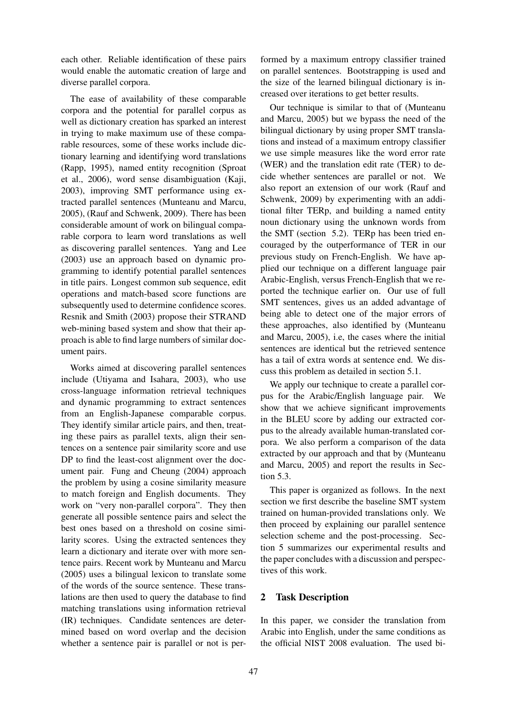each other. Reliable identification of these pairs would enable the automatic creation of large and diverse parallel corpora.

The ease of availability of these comparable corpora and the potential for parallel corpus as well as dictionary creation has sparked an interest in trying to make maximum use of these comparable resources, some of these works include dictionary learning and identifying word translations (Rapp, 1995), named entity recognition (Sproat et al., 2006), word sense disambiguation (Kaji, 2003), improving SMT performance using extracted parallel sentences (Munteanu and Marcu, 2005), (Rauf and Schwenk, 2009). There has been considerable amount of work on bilingual comparable corpora to learn word translations as well as discovering parallel sentences. Yang and Lee (2003) use an approach based on dynamic programming to identify potential parallel sentences in title pairs. Longest common sub sequence, edit operations and match-based score functions are subsequently used to determine confidence scores. Resnik and Smith (2003) propose their STRAND web-mining based system and show that their approach is able to find large numbers of similar document pairs.

Works aimed at discovering parallel sentences include (Utiyama and Isahara, 2003), who use cross-language information retrieval techniques and dynamic programming to extract sentences from an English-Japanese comparable corpus. They identify similar article pairs, and then, treating these pairs as parallel texts, align their sentences on a sentence pair similarity score and use DP to find the least-cost alignment over the document pair. Fung and Cheung (2004) approach the problem by using a cosine similarity measure to match foreign and English documents. They work on "very non-parallel corpora". They then generate all possible sentence pairs and select the best ones based on a threshold on cosine similarity scores. Using the extracted sentences they learn a dictionary and iterate over with more sentence pairs. Recent work by Munteanu and Marcu (2005) uses a bilingual lexicon to translate some of the words of the source sentence. These translations are then used to query the database to find matching translations using information retrieval (IR) techniques. Candidate sentences are determined based on word overlap and the decision whether a sentence pair is parallel or not is per-

formed by a maximum entropy classifier trained on parallel sentences. Bootstrapping is used and the size of the learned bilingual dictionary is increased over iterations to get better results.

Our technique is similar to that of (Munteanu and Marcu, 2005) but we bypass the need of the bilingual dictionary by using proper SMT translations and instead of a maximum entropy classifier we use simple measures like the word error rate (WER) and the translation edit rate (TER) to decide whether sentences are parallel or not. We also report an extension of our work (Rauf and Schwenk, 2009) by experimenting with an additional filter TERp, and building a named entity noun dictionary using the unknown words from the SMT (section 5.2). TERp has been tried encouraged by the outperformance of TER in our previous study on French-English. We have applied our technique on a different language pair Arabic-English, versus French-English that we reported the technique earlier on. Our use of full SMT sentences, gives us an added advantage of being able to detect one of the major errors of these approaches, also identified by (Munteanu and Marcu, 2005), i.e, the cases where the initial sentences are identical but the retrieved sentence has a tail of extra words at sentence end. We discuss this problem as detailed in section 5.1.

We apply our technique to create a parallel corpus for the Arabic/English language pair. We show that we achieve significant improvements in the BLEU score by adding our extracted corpus to the already available human-translated corpora. We also perform a comparison of the data extracted by our approach and that by (Munteanu and Marcu, 2005) and report the results in Section 5.3.

This paper is organized as follows. In the next section we first describe the baseline SMT system trained on human-provided translations only. We then proceed by explaining our parallel sentence selection scheme and the post-processing. Section 5 summarizes our experimental results and the paper concludes with a discussion and perspectives of this work.

# 2 Task Description

In this paper, we consider the translation from Arabic into English, under the same conditions as the official NIST 2008 evaluation. The used bi-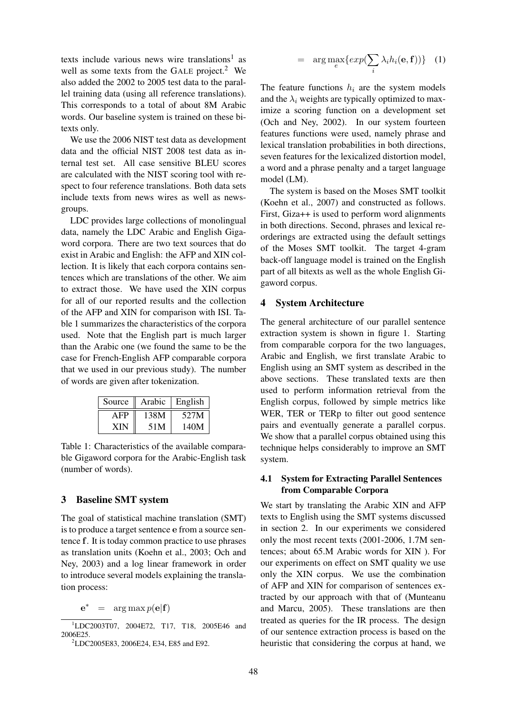texts include various news wire translations<sup>1</sup> as well as some texts from the GALE project.<sup>2</sup> We also added the 2002 to 2005 test data to the parallel training data (using all reference translations). This corresponds to a total of about 8M Arabic words. Our baseline system is trained on these bitexts only.

We use the 2006 NIST test data as development data and the official NIST 2008 test data as internal test set. All case sensitive BLEU scores are calculated with the NIST scoring tool with respect to four reference translations. Both data sets include texts from news wires as well as newsgroups.

LDC provides large collections of monolingual data, namely the LDC Arabic and English Gigaword corpora. There are two text sources that do exist in Arabic and English: the AFP and XIN collection. It is likely that each corpora contains sentences which are translations of the other. We aim to extract those. We have used the XIN corpus for all of our reported results and the collection of the AFP and XIN for comparison with ISI. Table 1 summarizes the characteristics of the corpora used. Note that the English part is much larger than the Arabic one (we found the same to be the case for French-English AFP comparable corpora that we used in our previous study). The number of words are given after tokenization.

| Source | Arabic | English |
|--------|--------|---------|
| AFP    | 138M   | 527M    |
| XIN    | 51M    | 140M    |

Table 1: Characteristics of the available comparable Gigaword corpora for the Arabic-English task (number of words).

## 3 Baseline SMT system

The goal of statistical machine translation (SMT) is to produce a target sentence e from a source sentence f. It is today common practice to use phrases as translation units (Koehn et al., 2003; Och and Ney, 2003) and a log linear framework in order to introduce several models explaining the translation process:

 $e^* = arg max p(e|f)$ 

$$
= \arg \max_{e} \{ exp(\sum_{i} \lambda_{i} h_{i}(\mathbf{e}, \mathbf{f})) \} (1)
$$

The feature functions  $h_i$  are the system models and the  $\lambda_i$  weights are typically optimized to maximize a scoring function on a development set (Och and Ney, 2002). In our system fourteen features functions were used, namely phrase and lexical translation probabilities in both directions, seven features for the lexicalized distortion model, a word and a phrase penalty and a target language model (LM).

The system is based on the Moses SMT toolkit (Koehn et al., 2007) and constructed as follows. First, Giza++ is used to perform word alignments in both directions. Second, phrases and lexical reorderings are extracted using the default settings of the Moses SMT toolkit. The target 4-gram back-off language model is trained on the English part of all bitexts as well as the whole English Gigaword corpus.

### 4 System Architecture

The general architecture of our parallel sentence extraction system is shown in figure 1. Starting from comparable corpora for the two languages, Arabic and English, we first translate Arabic to English using an SMT system as described in the above sections. These translated texts are then used to perform information retrieval from the English corpus, followed by simple metrics like WER, TER or TERp to filter out good sentence pairs and eventually generate a parallel corpus. We show that a parallel corpus obtained using this technique helps considerably to improve an SMT system.

# 4.1 System for Extracting Parallel Sentences from Comparable Corpora

We start by translating the Arabic XIN and AFP texts to English using the SMT systems discussed in section 2. In our experiments we considered only the most recent texts (2001-2006, 1.7M sentences; about 65.M Arabic words for XIN ). For our experiments on effect on SMT quality we use only the XIN corpus. We use the combination of AFP and XIN for comparison of sentences extracted by our approach with that of (Munteanu and Marcu, 2005). These translations are then treated as queries for the IR process. The design of our sentence extraction process is based on the heuristic that considering the corpus at hand, we

<sup>&</sup>lt;sup>1</sup>LDC2003T07, 2004E72, T17, T18, 2005E46 and 2006E25.

<sup>2</sup>LDC2005E83, 2006E24, E34, E85 and E92.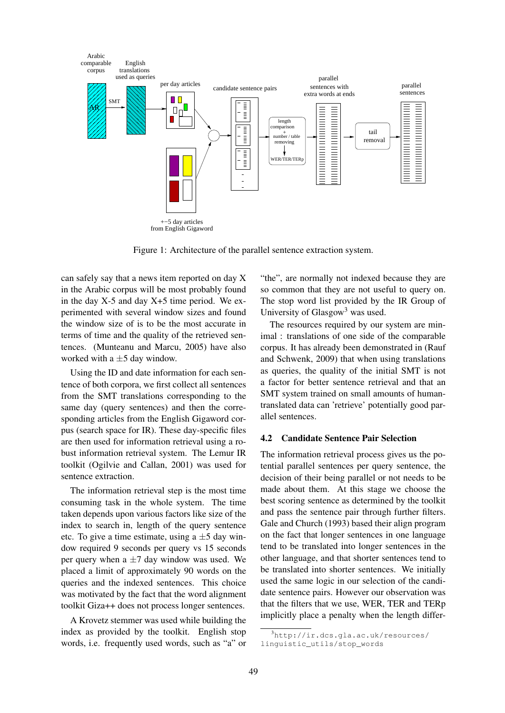

Figure 1: Architecture of the parallel sentence extraction system.

can safely say that a news item reported on day X in the Arabic corpus will be most probably found in the day  $X-5$  and day  $X+5$  time period. We experimented with several window sizes and found the window size of is to be the most accurate in terms of time and the quality of the retrieved sentences. (Munteanu and Marcu, 2005) have also worked with a  $\pm$ 5 day window.

Using the ID and date information for each sentence of both corpora, we first collect all sentences from the SMT translations corresponding to the same day (query sentences) and then the corresponding articles from the English Gigaword corpus (search space for IR). These day-specific files are then used for information retrieval using a robust information retrieval system. The Lemur IR toolkit (Ogilvie and Callan, 2001) was used for sentence extraction.

The information retrieval step is the most time consuming task in the whole system. The time taken depends upon various factors like size of the index to search in, length of the query sentence etc. To give a time estimate, using a  $\pm 5$  day window required 9 seconds per query vs 15 seconds per query when a  $\pm$ 7 day window was used. We placed a limit of approximately 90 words on the queries and the indexed sentences. This choice was motivated by the fact that the word alignment toolkit Giza++ does not process longer sentences.

A Krovetz stemmer was used while building the index as provided by the toolkit. English stop words, i.e. frequently used words, such as "a" or "the", are normally not indexed because they are so common that they are not useful to query on. The stop word list provided by the IR Group of University of  $Glassow<sup>3</sup>$  was used.

The resources required by our system are minimal : translations of one side of the comparable corpus. It has already been demonstrated in (Rauf and Schwenk, 2009) that when using translations as queries, the quality of the initial SMT is not a factor for better sentence retrieval and that an SMT system trained on small amounts of humantranslated data can 'retrieve' potentially good parallel sentences.

#### 4.2 Candidate Sentence Pair Selection

The information retrieval process gives us the potential parallel sentences per query sentence, the decision of their being parallel or not needs to be made about them. At this stage we choose the best scoring sentence as determined by the toolkit and pass the sentence pair through further filters. Gale and Church (1993) based their align program on the fact that longer sentences in one language tend to be translated into longer sentences in the other language, and that shorter sentences tend to be translated into shorter sentences. We initially used the same logic in our selection of the candidate sentence pairs. However our observation was that the filters that we use, WER, TER and TERp implicitly place a penalty when the length differ-

 $3$ http://ir.dcs.qla.ac.uk/resources/ linguistic\_utils/stop\_words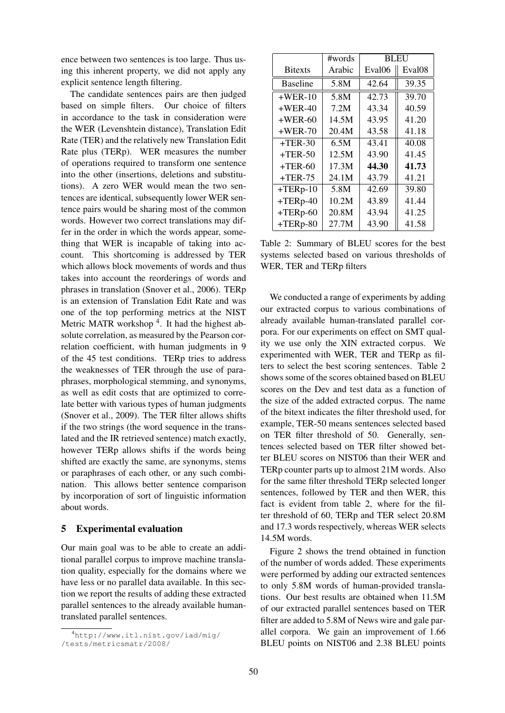ence between two sentences is too large. Thus using this inherent property, we did not apply any explicit sentence length filtering.

The candidate sentences pairs are then judged based on simple filters. Our choice of filters in accordance to the task in consideration were the WER (Levenshtein distance), Translation Edit Rate (TER) and the relatively new Translation Edit Rate plus (TERp). WER measures the number of operations required to transform one sentence into the other (insertions, deletions and substitutions). A zero WER would mean the two sentences are identical, subsequently lower WER sentence pairs would be sharing most of the common words. However two correct translations may differ in the order in which the words appear, something that WER is incapable of taking into account. This shortcoming is addressed by TER which allows block movements of words and thus takes into account the reorderings of words and phrases in translation (Snover et al., 2006). TERp is an extension of Translation Edit Rate and was one of the top performing metrics at the NIST Metric MATR workshop<sup>4</sup>. It had the highest absolute correlation, as measured by the Pearson correlation coefficient, with human judgments in 9 of the 45 test conditions. TERp tries to address the weaknesses of TER through the use of paraphrases, morphological stemming, and synonyms, as well as edit costs that are optimized to correlate better with various types of human judgments (Snover et al., 2009). The TER filter allows shifts if the two strings (the word sequence in the translated and the IR retrieved sentence) match exactly, however TERp allows shifts if the words being shifted are exactly the same, are synonyms, stems or paraphrases of each other, or any such combination. This allows better sentence comparison by incorporation of sort of linguistic information about words.

### 5 Experimental evaluation

Our main goal was to be able to create an additional parallel corpus to improve machine translation quality, especially for the domains where we have less or no parallel data available. In this section we report the results of adding these extracted parallel sentences to the already available humantranslated parallel sentences.

|                 | #words | <b>BLEU</b>        |                    |
|-----------------|--------|--------------------|--------------------|
| <b>Bitexts</b>  | Arabic | Eval <sub>06</sub> | Eval <sub>08</sub> |
| <b>Baseline</b> | 5.8M   | 42.64              | 39.35              |
| $+WER-10$       | 5.8M   | 42.73              | 39.70              |
| $+WER-40$       | 7.2M   | 43.34              | 40.59              |
| $+WER-60$       | 14.5M  | 43.95              | 41.20              |
| $+WER-70$       | 20.4M  | 43.58              | 41.18              |
| $+TER-30$       | 6.5M   | 43.41              | 40.08              |
| $+TER-50$       | 12.5M  | 43.90              | 41.45              |
| $+TER-60$       | 17.3M  | 44.30              | 41.73              |
| $+TER-75$       | 24.1M  | 43.79              | 41.21              |
| $+TERp-10$      | 5.8M   | 42.69              | 39.80              |
| $+TERp-40$      | 10.2M  | 43.89              | 41.44              |
| $+TERp-60$      | 20.8M  | 43.94              | 41.25              |
| $+TERp-80$      | 27.7M  | 43.90              | 41.58              |

Table 2: Summary of BLEU scores for the best systems selected based on various thresholds of WER, TER and TERp filters

We conducted a range of experiments by adding our extracted corpus to various combinations of already available human-translated parallel corpora. For our experiments on effect on SMT quality we use only the XIN extracted corpus. We experimented with WER, TER and TERp as filters to select the best scoring sentences. Table 2 shows some of the scores obtained based on BLEU scores on the Dev and test data as a function of the size of the added extracted corpus. The name of the bitext indicates the filter threshold used, for example, TER-50 means sentences selected based on TER filter threshold of 50. Generally, sentences selected based on TER filter showed better BLEU scores on NIST06 than their WER and TERp counter parts up to almost 21M words. Also for the same filter threshold TERp selected longer sentences, followed by TER and then WER, this fact is evident from table 2, where for the filter threshold of 60, TERp and TER select 20.8M and 17.3 words respectively, whereas WER selects 14.5M words.

Figure 2 shows the trend obtained in function of the number of words added. These experiments were performed by adding our extracted sentences to only 5.8M words of human-provided translations. Our best results are obtained when 11.5M of our extracted parallel sentences based on TER filter are added to 5.8M of News wire and gale parallel corpora. We gain an improvement of 1.66 BLEU points on NIST06 and 2.38 BLEU points

<sup>4</sup>http://www.itl.nist.gov/iad/mig/ /tests/metricsmatr/2008/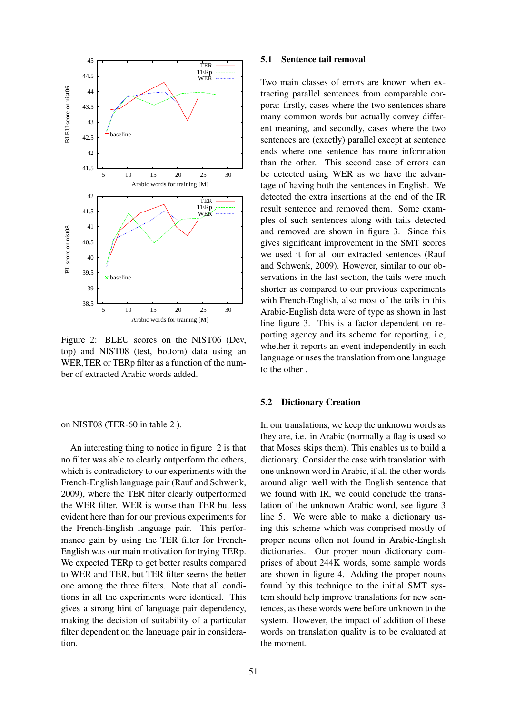

Figure 2: BLEU scores on the NIST06 (Dev, top) and NIST08 (test, bottom) data using an WER,TER or TERp filter as a function of the number of extracted Arabic words added.

on NIST08 (TER-60 in table 2 ).

An interesting thing to notice in figure 2 is that no filter was able to clearly outperform the others, which is contradictory to our experiments with the French-English language pair (Rauf and Schwenk, 2009), where the TER filter clearly outperformed the WER filter. WER is worse than TER but less evident here than for our previous experiments for the French-English language pair. This performance gain by using the TER filter for French-English was our main motivation for trying TERp. We expected TERp to get better results compared to WER and TER, but TER filter seems the better one among the three filters. Note that all conditions in all the experiments were identical. This gives a strong hint of language pair dependency, making the decision of suitability of a particular filter dependent on the language pair in consideration.

#### 5.1 Sentence tail removal

Two main classes of errors are known when extracting parallel sentences from comparable corpora: firstly, cases where the two sentences share many common words but actually convey different meaning, and secondly, cases where the two sentences are (exactly) parallel except at sentence ends where one sentence has more information than the other. This second case of errors can be detected using WER as we have the advantage of having both the sentences in English. We detected the extra insertions at the end of the IR result sentence and removed them. Some examples of such sentences along with tails detected and removed are shown in figure 3. Since this gives significant improvement in the SMT scores we used it for all our extracted sentences (Rauf and Schwenk, 2009). However, similar to our observations in the last section, the tails were much shorter as compared to our previous experiments with French-English, also most of the tails in this Arabic-English data were of type as shown in last line figure 3. This is a factor dependent on reporting agency and its scheme for reporting, i.e, whether it reports an event independently in each language or uses the translation from one language to the other .

## 5.2 Dictionary Creation

In our translations, we keep the unknown words as they are, i.e. in Arabic (normally a flag is used so that Moses skips them). This enables us to build a dictionary. Consider the case with translation with one unknown word in Arabic, if all the other words around align well with the English sentence that we found with IR, we could conclude the translation of the unknown Arabic word, see figure 3 line 5. We were able to make a dictionary using this scheme which was comprised mostly of proper nouns often not found in Arabic-English dictionaries. Our proper noun dictionary comprises of about 244K words, some sample words are shown in figure 4. Adding the proper nouns found by this technique to the initial SMT system should help improve translations for new sentences, as these words were before unknown to the system. However, the impact of addition of these words on translation quality is to be evaluated at the moment.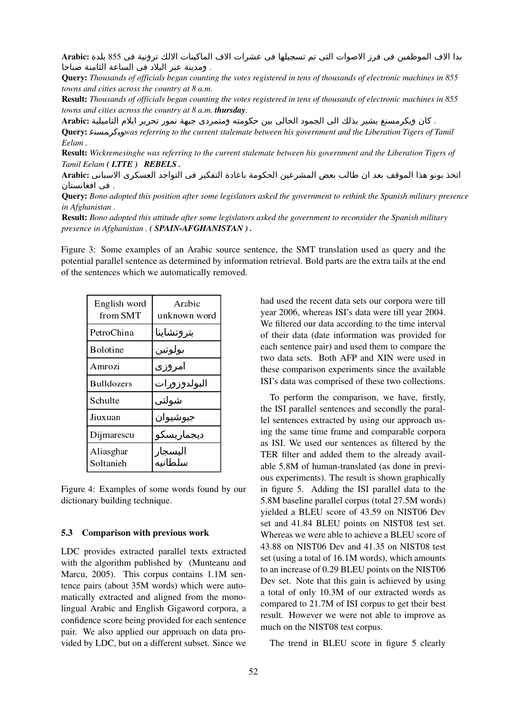بدا الاف الموظفين في فرز الاصوات التي تم تسجيلها في عشرات الاف الماكينات الالك ترونية في 855 بلدة :Arabic . ومدينة عبر البلاد في الساعة الثامنة صباحا

Query: *Thousands of officials began counting the votes registered in tens of thousands of electronic machines in 855 towns and cities across the country at 8 a.m.*

Result: *Thousands of officials began counting the votes registered in tens of thousands of electronic machines in 855 towns and cities across the country at 8 a.m. thursday.*

. كان ويكرمسنغ يشير بذلك الى الجمود الحالي بين حكومته ومتمردى جبهة نمور تحرير ايلام التاميلية :Arabic

Query: 5*was referring to the current stalemate between his government and the Liberation Tigers of Tamil Eelam .*

Result: *Wickremesinghe was referring to the current stalemate between his government and the Liberation Tigers of Tamil Eelam ( LTTE ) REBELS .*

اتخذ بونو هذا الموقف بعد ان طالب بعض المشرعين الحكومة باعادة التفكير في التواجد العسكري الاسباني :Arabic . في افغانستان

Query: *Bono adopted this position after some legislators asked the government to rethink the Spanish military presence in Afghanistan .*

Result: *Bono adopted this attitude after some legislators asked the government to reconsider the Spanish military presence in Afghanistan . ( SPAIN-AFGHANISTAN ) .*

Figure 3: Some examples of an Arabic source sentence, the SMT translation used as query and the potential parallel sentence as determined by information retrieval. Bold parts are the extra tails at the end of the sentences which we automatically removed.

| English word<br>from SMT | Arabic<br>unknown word |
|--------------------------|------------------------|
| PetroChina               | بتروتشاينا             |
| Bolotine                 | بولوتين                |
| Amrozi                   | امروزی                 |
| <b>Bulldozers</b>        | البولدوزورات           |
| Schulte                  | شولتي                  |
| Jiuxuan                  | جيوشيوان               |
| Dijmarescu               | ديجماريسكو             |
| Aliasghar<br>Soltanieh   | اليسجار<br>سلطانيه     |

Figure 4: Examples of some words found by our dictionary building technique.

#### 5.3 Comparison with previous work

LDC provides extracted parallel texts extracted with the algorithm published by (Munteanu and Marcu, 2005). This corpus contains 1.1M sentence pairs (about 35M words) which were automatically extracted and aligned from the monolingual Arabic and English Gigaword corpora, a confidence score being provided for each sentence pair. We also applied our approach on data provided by LDC, but on a different subset. Since we had used the recent data sets our corpora were till year 2006, whereas ISI's data were till year 2004. We filtered our data according to the time interval of their data (date information was provided for each sentence pair) and used them to compare the two data sets. Both AFP and XIN were used in these comparison experiments since the available ISI's data was comprised of these two collections.

To perform the comparison, we have, firstly, the ISI parallel sentences and secondly the parallel sentences extracted by using our approach using the same time frame and comparable corpora as ISI. We used our sentences as filtered by the TER filter and added them to the already available 5.8M of human-translated (as done in previous experiments). The result is shown graphically in figure 5. Adding the ISI parallel data to the 5.8M baseline parallel corpus (total 27.5M words) yielded a BLEU score of 43.59 on NIST06 Dev set and 41.84 BLEU points on NIST08 test set. Whereas we were able to achieve a BLEU score of 43.88 on NIST06 Dev and 41.35 on NIST08 test set (using a total of 16.1M words), which amounts to an increase of 0.29 BLEU points on the NIST06 Dev set. Note that this gain is achieved by using a total of only 10.3M of our extracted words as compared to 21.7M of ISI corpus to get their best result. However we were not able to improve as much on the NIST08 test corpus.

The trend in BLEU score in figure 5 clearly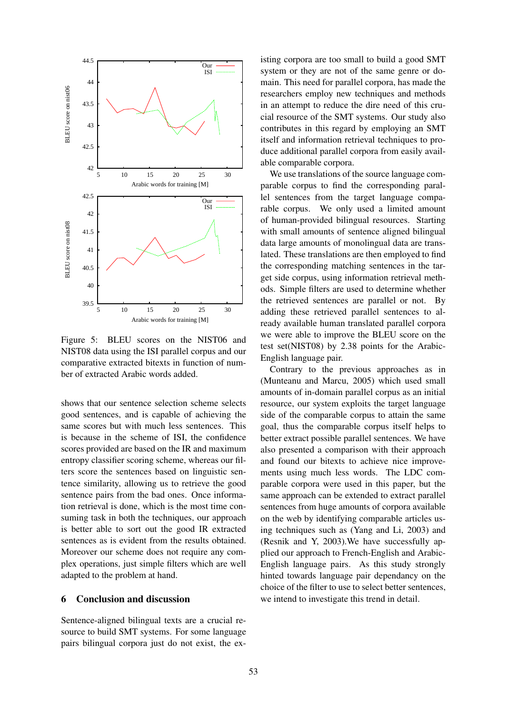

Figure 5: BLEU scores on the NIST06 and NIST08 data using the ISI parallel corpus and our comparative extracted bitexts in function of number of extracted Arabic words added.

shows that our sentence selection scheme selects good sentences, and is capable of achieving the same scores but with much less sentences. This is because in the scheme of ISI, the confidence scores provided are based on the IR and maximum entropy classifier scoring scheme, whereas our filters score the sentences based on linguistic sentence similarity, allowing us to retrieve the good sentence pairs from the bad ones. Once information retrieval is done, which is the most time consuming task in both the techniques, our approach is better able to sort out the good IR extracted sentences as is evident from the results obtained. Moreover our scheme does not require any complex operations, just simple filters which are well adapted to the problem at hand.

# 6 Conclusion and discussion

Sentence-aligned bilingual texts are a crucial resource to build SMT systems. For some language pairs bilingual corpora just do not exist, the existing corpora are too small to build a good SMT system or they are not of the same genre or domain. This need for parallel corpora, has made the researchers employ new techniques and methods in an attempt to reduce the dire need of this crucial resource of the SMT systems. Our study also contributes in this regard by employing an SMT itself and information retrieval techniques to produce additional parallel corpora from easily available comparable corpora.

We use translations of the source language comparable corpus to find the corresponding parallel sentences from the target language comparable corpus. We only used a limited amount of human-provided bilingual resources. Starting with small amounts of sentence aligned bilingual data large amounts of monolingual data are translated. These translations are then employed to find the corresponding matching sentences in the target side corpus, using information retrieval methods. Simple filters are used to determine whether the retrieved sentences are parallel or not. By adding these retrieved parallel sentences to already available human translated parallel corpora we were able to improve the BLEU score on the test set(NIST08) by 2.38 points for the Arabic-English language pair.

Contrary to the previous approaches as in (Munteanu and Marcu, 2005) which used small amounts of in-domain parallel corpus as an initial resource, our system exploits the target language side of the comparable corpus to attain the same goal, thus the comparable corpus itself helps to better extract possible parallel sentences. We have also presented a comparison with their approach and found our bitexts to achieve nice improvements using much less words. The LDC comparable corpora were used in this paper, but the same approach can be extended to extract parallel sentences from huge amounts of corpora available on the web by identifying comparable articles using techniques such as (Yang and Li, 2003) and (Resnik and Y, 2003).We have successfully applied our approach to French-English and Arabic-English language pairs. As this study strongly hinted towards language pair dependancy on the choice of the filter to use to select better sentences, we intend to investigate this trend in detail.